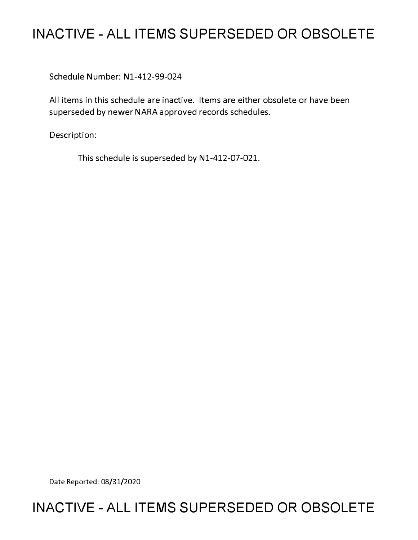# **INACTIVE - ALL ITEMS SUPERSEDED OR OBSOLETE**

Schedule Number: Nl-412-99-024

All items in this schedule are inactive. Items are either obsolete or have been superseded by newer NARA approved records schedules.

Description:

This schedule is superseded by Nl-412-07-021.

Date Reported: 08/31/2020

# **INACTIVE - ALL ITEMS SUPERSEDED OR OBSOLETE**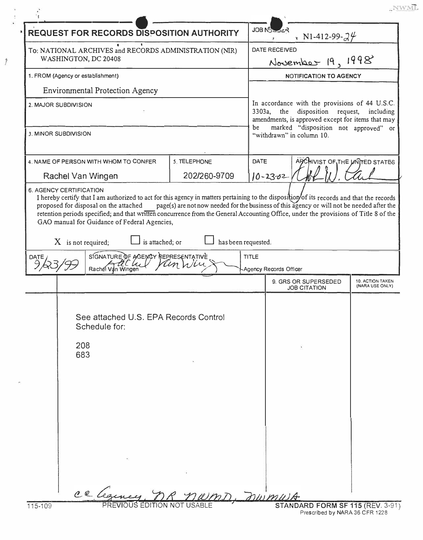NWML.

| <b>DATE RECEIVED</b><br>To: NATIONAL ARCHIVES and RECORDS ADMINISTRATION (NIR)<br>WASHINGTON, DC 20408<br>November 19, 1998<br>1. FROM (Agency or establishment)<br><b>NOTIFICATION TO AGENCY</b><br><b>Environmental Protection Agency</b><br>2. MAJOR SUBDIVISION<br>3303a, the disposition request,<br>be<br>3. MINOR SUBDIVISION<br>"withdrawn" in column 10.<br>ARCHIVIST OF THE UNITED STATES<br><b>DATE</b><br>4. NAME OF PERSON WITH WHOM TO CONFER<br>5. TELEPHONE<br>202/260-9709<br>$10 - 23 - 02$<br>Rachel Van Wingen<br>6. AGENCY CERTIFICATION<br>I hereby certify that I am authorized to act for this agency in matters pertaining to the disposition of its records and that the records<br>page(s) are not now needed for the business of this agency or will not be needed after the<br>proposed for disposal on the attached<br>retention periods specified; and that written concurrence from the General Accounting Office, under the provisions of Title 8 of the<br>GAO manual for Guidance of Federal Agencies,<br>is attached; or<br>has been requested.<br>$X$ is not required;<br>SIGNATURE OF AGENCY REPRESENTATIVE<br><b>TITLE</b><br><b>DATE</b><br>Rachel Van Wingen<br>Agency Records Officer<br>9. GRS OR SUPERSEDED<br><b>JOB CITATION</b><br>See attached U.S. EPA Records Control<br>Schedule for:<br>208<br>683 | <b>REQUEST FOR RECORDS DISPOSITION AUTHORITY</b> |           |  | JOB N <sub>5</sub><br>r N1-412-99- $34$                                                                                                     |  |                                            |
|--------------------------------------------------------------------------------------------------------------------------------------------------------------------------------------------------------------------------------------------------------------------------------------------------------------------------------------------------------------------------------------------------------------------------------------------------------------------------------------------------------------------------------------------------------------------------------------------------------------------------------------------------------------------------------------------------------------------------------------------------------------------------------------------------------------------------------------------------------------------------------------------------------------------------------------------------------------------------------------------------------------------------------------------------------------------------------------------------------------------------------------------------------------------------------------------------------------------------------------------------------------------------------------------------------------------------------------------------------|--------------------------------------------------|-----------|--|---------------------------------------------------------------------------------------------------------------------------------------------|--|--------------------------------------------|
|                                                                                                                                                                                                                                                                                                                                                                                                                                                                                                                                                                                                                                                                                                                                                                                                                                                                                                                                                                                                                                                                                                                                                                                                                                                                                                                                                        |                                                  |           |  |                                                                                                                                             |  |                                            |
|                                                                                                                                                                                                                                                                                                                                                                                                                                                                                                                                                                                                                                                                                                                                                                                                                                                                                                                                                                                                                                                                                                                                                                                                                                                                                                                                                        |                                                  |           |  |                                                                                                                                             |  |                                            |
|                                                                                                                                                                                                                                                                                                                                                                                                                                                                                                                                                                                                                                                                                                                                                                                                                                                                                                                                                                                                                                                                                                                                                                                                                                                                                                                                                        |                                                  |           |  |                                                                                                                                             |  |                                            |
|                                                                                                                                                                                                                                                                                                                                                                                                                                                                                                                                                                                                                                                                                                                                                                                                                                                                                                                                                                                                                                                                                                                                                                                                                                                                                                                                                        |                                                  |           |  | In accordance with the provisions of 44 U.S.C.<br>amendments, is approved except for items that may<br>marked "disposition not approved" or |  | including                                  |
|                                                                                                                                                                                                                                                                                                                                                                                                                                                                                                                                                                                                                                                                                                                                                                                                                                                                                                                                                                                                                                                                                                                                                                                                                                                                                                                                                        |                                                  |           |  |                                                                                                                                             |  |                                            |
|                                                                                                                                                                                                                                                                                                                                                                                                                                                                                                                                                                                                                                                                                                                                                                                                                                                                                                                                                                                                                                                                                                                                                                                                                                                                                                                                                        |                                                  |           |  |                                                                                                                                             |  |                                            |
|                                                                                                                                                                                                                                                                                                                                                                                                                                                                                                                                                                                                                                                                                                                                                                                                                                                                                                                                                                                                                                                                                                                                                                                                                                                                                                                                                        |                                                  |           |  |                                                                                                                                             |  |                                            |
|                                                                                                                                                                                                                                                                                                                                                                                                                                                                                                                                                                                                                                                                                                                                                                                                                                                                                                                                                                                                                                                                                                                                                                                                                                                                                                                                                        |                                                  |           |  |                                                                                                                                             |  |                                            |
|                                                                                                                                                                                                                                                                                                                                                                                                                                                                                                                                                                                                                                                                                                                                                                                                                                                                                                                                                                                                                                                                                                                                                                                                                                                                                                                                                        |                                                  |           |  |                                                                                                                                             |  |                                            |
|                                                                                                                                                                                                                                                                                                                                                                                                                                                                                                                                                                                                                                                                                                                                                                                                                                                                                                                                                                                                                                                                                                                                                                                                                                                                                                                                                        |                                                  |           |  |                                                                                                                                             |  | <b>10. ACTION TAKEN</b><br>(NARA USE ONLY) |
| WMD. nwmwA                                                                                                                                                                                                                                                                                                                                                                                                                                                                                                                                                                                                                                                                                                                                                                                                                                                                                                                                                                                                                                                                                                                                                                                                                                                                                                                                             |                                                  | ce Legene |  |                                                                                                                                             |  |                                            |

 $\tilde{r}$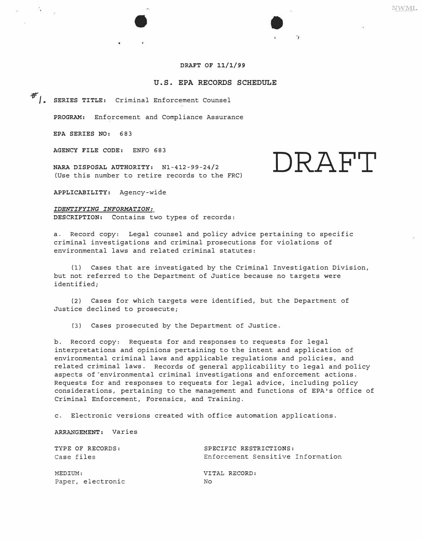# **DRAFT OF 11/1/99**

## **U.S. EPA RECORDS SCHEDULE**

*.:tr/.* **SERIES TITLE:** Criminal Enforcement Counsel

**PROGRAM:** Enforcement and Compliance Assurance

**EPA SERIES NO:** 683

 $\sim 10^{-1}$ 

**AGENCY FILE CODE:** ENFO 683

**NARA DISPOSAL AUTHORITY:**  Nl-412-99-24/2 (Use this number to retire records to the FRC)

**APPLICABILITY:** Agency-wide

# *IDENTIFYING INFORMATION:*

**DESCRIPTION:** Contains two types of records:

a. Record copy: Legal counsel and policy advice pertaining to specific criminal investigations and criminal prosecutions for violations of environmental laws and related criminal statutes:

(1) Cases that are investigated by the Criminal Investigation Division, but not referred to the Department of Justice because no targets were identified;

(2) Cases for which targets were identified, but the Department of Justice declined to prosecute;

(3) Cases prosecuted by the Department of Justice.

b. Record copy: Requests for and responses to requests for legal interpretations and opinions pertaining to the intent and application of environmental criminal laws and applicable regulations and policies, and related criminal laws. Records of general applicability to legal and policy aspects of environmental criminal investigations and enforcement actions. Requests for and responses to requests for legal advice, including policy considerations, pertaining to the management and functions of EPA's Office of Criminal Enforcement, Forensics, and Training.

c. Electronic versions created with office automation applications.

**ARRANGEMENT:** Varies

| Enforcement Sensitive Information |
|-----------------------------------|
|                                   |
|                                   |
|                                   |
|                                   |

**NWML** 

**DRAFT**

 $\tilde{\mathbf{r}}$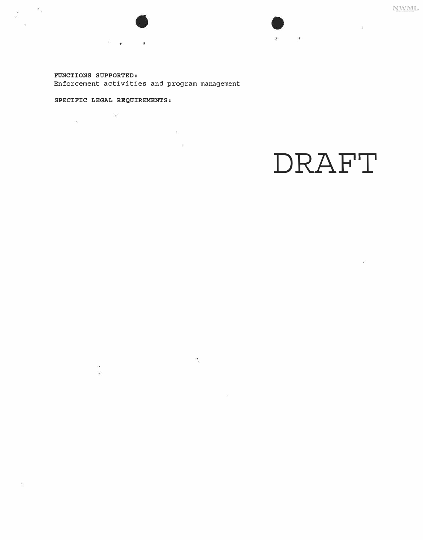$\bar{\alpha}$ 

*FUNCTIONS SUPPORTED:* 

 $\sim$   $\sim$ 

Enforcement activities and program management

 $\sim$ 

 $\mathcal{N}_{\mathcal{C}}$ 

 $\mathcal{L}$ 

# *SPECIFIC LEGAL REQUIREMENTS:*

 $\mathcal{L}(\mathbf{r})$ 

 $\sim$ 

A.

 $-\frac{37}{38}$ 

 $\mathcal{L}_{\text{max}}$ 

 $\tilde{\mathbf{w}}$ 

**DRAFT** 

 $\mathcal{R}$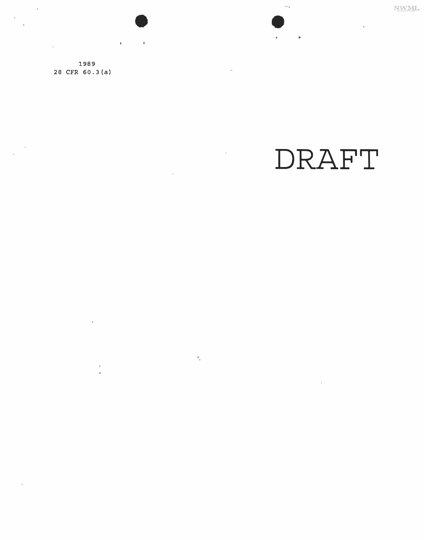NWML

 $\ddot{\phantom{0}}$ 

**1989 28 CFR 60.3(a)** 

 $\alpha$ 

 $\overline{\phantom{a}}$ ä

 $\widetilde{\zeta}$ 

 $\blacksquare$ 

nas

 $\mathbf{N}_c$ 

 $\chi$ 

 $\overline{a}$ 

a.

# **DRAFT**

 $\omega$ 

.:..

 $\omega_{\rm{c}}$ 

 $\hat{\mathbf{r}}_i$ 

 $\lesssim$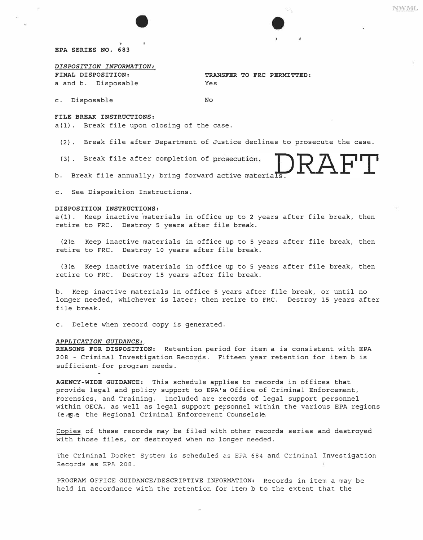2AFT

## *EPA SERIES NO. 683*

#### *DISPOSITION INFORMATION:*

*FINAL DISPOSITION: TRANSFER TO FRC PERMITTED:*  a and b. Disposable Yes

c. Disposable No

#### *FILE BREAK INSTRUCTIONS:*

a{l). Break file upon closing of the case.

(2). Break file after Department of Justice declines to prosecute the case.

(3). Break file after completion of prosecution.

b. Break file annually; bring forward active materials

c. See Disposition Instructions.

#### *DISPOSITION INSTRUCTIONS:*

a (l). Keep inactive 'materials in office up to 2 years after file break, then retire to FRC. Destroy 5 years after file break.

(2)e. Keep inactive materials in office up to 5 years after file break, then retire to FRC. Destroy 10 years after file break.

(3)e. Keep inactive materials in office up to 5 years after file break, then retire to FRC. Destroy 15 years after file break.

b. Keep inactive materials in office 5 years after file break, or until no longer needed, whichever is later; then retire to FRC. Destroy 15 years after file break.

c. Delete when record copy is generated.

#### *APPLICATION GUIDANCE:*

*REASONS FOR DISPOSITION:* Retention period for item a is consistent with EPA 208 - Criminal Investigation Records. Fifteen year retention for item b is sufficient-for program needs.

*AGENCY-WIDE GUIDANCE:* This schedule applies to records in offices that provide legal and policy support to EPA's Office of Criminal Enforcement, Forensics, and Training. Included are records of legal support personnel within OECA, as well as legal support personnel within the various EPA regions (e.eg.e, the Regional Criminal Enforcement Counsels)e.

Copies of these records may be filed with other records series and destroyed with those files, or destroyed when no longer needed.

The Criminal Docket System is scheduled as EPA 684 and Criminal Investigation Records as EPA 208.

PROGRAM OFFICE GUIDANCE/DESCRIPTIVE INFORMATION: Records in item a may be held in accordance with the retention for item b to the extent that the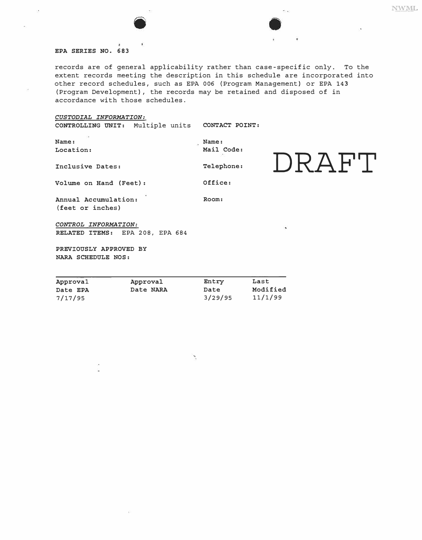#### *EPA SERIES NO. 683*

G.

records are of general applicability rather than case-specific only. To the extent records meeting the description in this schedule are incorporated into other record schedules, such as EPA 006 {Program Management) or EPA 143 {Program Development), the records may be retained and disposed of in accordance with those schedules.

e.<br>Si

# *CUSTODIAL INFORMATION:*

7/17/95

| CONTROLLING UNIT: Multiple units CONTACT POINT:          |                          |                             |
|----------------------------------------------------------|--------------------------|-----------------------------|
| Name:<br>Location:                                       | Name:<br>Mail Code:      |                             |
| Inclusive Dates:                                         | Telephone:               | $I)RA$ $H$ " $I$ "          |
| Volume on Hand (Feet):                                   | Office:                  |                             |
| Annual Accumulation:<br>(feet or inches)                 | Room:                    |                             |
| CONTROL INFORMATION:<br>RELATED ITEMS: EPA 208, EPA 684  |                          | $\ddot{\phantom{1}}$        |
| PREVIOUSLY APPROVED BY<br>NARA SCHEDULE NOS:             |                          |                             |
| Approval<br>Approval<br>Date NARA<br>Date EPA<br>7/17/95 | Entry<br>Date<br>3/29/95 | Last<br>Modified<br>11/1/99 |

 $\tilde{\mathcal{F}}$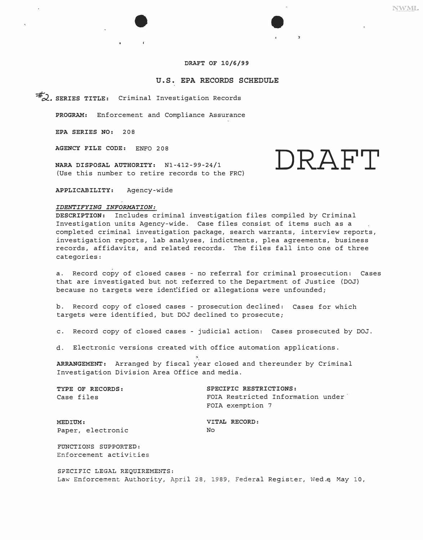# *DRAFT OF 10/6/99*

## **U.S. EPA RECORDS SCHEDULE**

*=#'o2\_. SERIES TITLE:* Criminal Investigation Records

*PROGRAM:* Enforcement and Compliance Assurance

*EPA SERIES NO:* 208

*AGENCY FILE CODE:* ENFO 208

*NARA DISPOSAL AUTHORITY:*  Nl-412-99-24/1 (Use this number to retire records to the FRC)

*APPLICABILITY:* Agency-wide

#### *IDENTIFYING INFORMATION:*

*DESCRIPTION:* Includes criminal investigation files compiled by Criminal Investigation units Agency-wide. Case files consist of items such as a completed criminal investigation package, search warrants, interview reports, investigation reports, lab analyses, indictments, plea agreements, business records, affidavits, and related records. The files fall into one of three categories:

a. Record copy of closed cases - no referral for criminal prosecution: Cases that are investigated but not referred to the Department of Justice (DOJ) because no targets were ident'ified or allegations were unfounded;

b. Record copy of closed cases - prosecution declined: Cases for which targets were identified, but DOJ declined to prosecute;

c. Record copy of closed cases - judicial action: Cases prosecuted by DOJ.

d. Electronic versions created with office automation applications.

*ARRANGEMENT:* Arranged by fiscal year closed and thereunder by Criminal Investigation Division Area Office and media.

*TYPE OF RECORDS: SPECIFIC RESTRICTIONS:*  Case files FOIA Restricted Information under FOIA exemption 7

*MEDIUM: VITAL RECORD:*  Paper, electronic No

FUNCTIONS SUPPORTED: Enforcement activities

SPECIFIC LEGAL REQUIREMENTS: Law Enforcement Authority, April 28, 1989, Federal Register, Wed.e, May 10,

**DRAFT**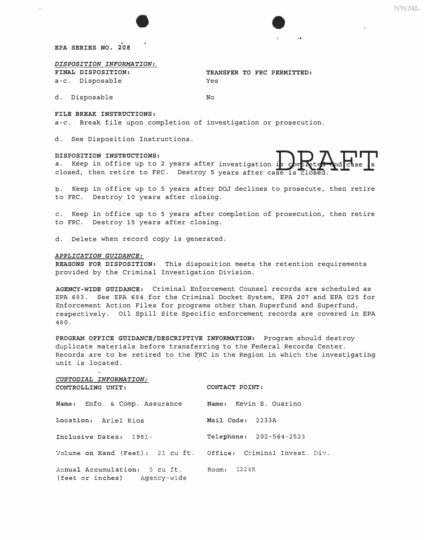NWML

*EPA SERIES NO. 208* 

*DISPOSITION INFORMATION:* 

*FINAL DISPOSITION:*  a-c. Disposable *TRANSFER TO FRC PERMITTED:*  Yes

d. Disposable No

*FILE BREAK INSTRUCTIONS:* 

a-c. Break file upon completion of investigation or prosecution.

d. See Disposition Instructions.

#### *DISPOSITION INSTRUCTIONS:*

DISPOSITION INSTRUCTIONS:<br>a. Keep in office up to 2 years after investigation is porpleted and case is<br>closed, then retire to FRC. Destroy 5 years after case is closed. a. Keep in office up to 2 years after investigation

b. Keep in office up to 5 years after DOJ declines to prosecute, then retire to FRC. Destroy 10 years after closing.

c. Keep in office up to 5 years after completion of prosecution, then retire to FRC. Destroy 15 years after closing.

d. Delete when record copy is generated.

#### *APPLICATION GUIDANCE:*

*REASONS FOR DISPOSITION:* This disposition meets the retention requirements provided by the Criminal Investigation Division.

*AGENCY-WIDE GUIDANCE:* Criminal Enforcement Counsel records are scheduled as EPA 683 . See EPA 684 for the Criminal Docket System, EPA 207 and EPA 025 for Enforcement Action Files for programs other than Superfund and Superfund, respectively. Oil Spill Site Specific enforcement records are covered in EPA 480.

*PROGRAM OFFICE GUIDANCE/DESCRIPTIVE INFORMATION:* Program should destroy duplicate materials before transferring to the Federal Records Center. Records are to be retired to the FRC in the Region in which the investigating unit is located.

| CUSTODIAL INFORMATION:<br>CONTROLLING UNIT:                               | CONTACT POINT:          |
|---------------------------------------------------------------------------|-------------------------|
| Name: Enfo. & Comp. Assurance Mame: Kevin S. Guarino                      |                         |
| Location: Ariel Rios                                                      | Mail Code: 2233A        |
| Inclusive Dates: 1981-                                                    | Telephone: 202-564-2523 |
| Volume on Hand (Feet): 21 cu ft. Office: Criminal Invest. Div.            |                         |
| Annual Accumulation: 5 cu ft. Room: 1224R<br>(feet or inches) Agency-wide |                         |